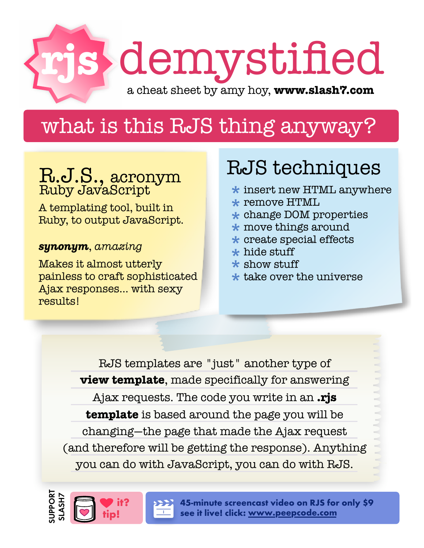

## what is this RJS thing anyway?

# R.J.S., acronym Ruby JavaScript

A templating tool, built in Ruby, to output JavaScript.

### *synonym*, *amazing*

Makes it almost utterly painless to craft sophisticated Ajax responses... with sexy results!

it?

## RJS techniques

- $\bigstar$  insert new HTML anywhere  $\bigstar$  remove HTML
- $\star$  remove HTML
- $\star$  remove HTML<br> $\star$  change DOM properties
- $\star$  change DOM proper<br> $\star$  move things around
- $\bigstar$  create special effects  $\bigstar$  hide stuff \*
- $\star$  hide stuff
- $\star$  hide stuff<br> $\star$  show stuff
- \*<br>\*<br>\*  $\bigstar$  take over the universe \*

RJS templates are "just" another type of **view template**, made specifically for answering Ajax requests. The code you write in an **.rjs template** is based around the page you will be changing—the page that made the Ajax request (and therefore will be getting the response). Anything you can do with JavaScript, you can do with RJS.



[45-minute screencast video on RJS for only \\$9](http://peepcode.com/articles/2006/08/13/rjs-templates) see it live! click: www.peepcode.com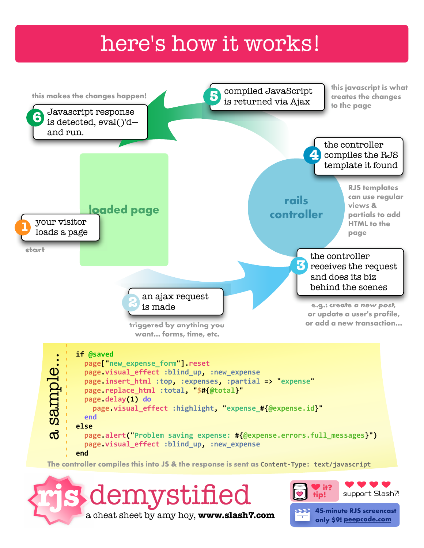### here's how it works!



[a cheat sheet by amy hoy,](http://www.slash7.com/) **www.slash7.com**

45-minute RJS screencast [only \\$9! peepcode.com](http://peepcode.com/articles/2006/08/13/rjs-templates)